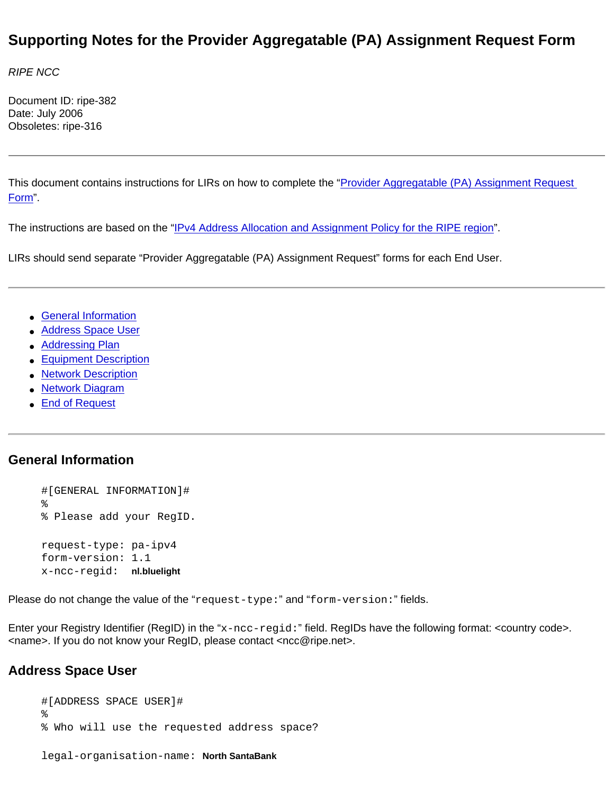# **Supporting Notes for the Provider Aggregatable (PA) Assignment Request Form**

*RIPE NCC* 

Document ID: ripe-382 Date: July 2006 Obsoletes: ripe-316

This document contains instructions for LIRs on how to complete the "[Provider Aggregatable \(PA\) Assignment Request](http://test-www.ripe.net/ripe/docs/pa-request.html) [Form](http://test-www.ripe.net/ripe/docs/pa-request.html)".

The instructions are based on the "[IPv4 Address Allocation and Assignment Policy for the RIPE region"](http://test-www.ripe.net/ripe/docs/ipv4-policies.html).

LIRs should send separate "Provider Aggregatable (PA) Assignment Request" forms for each End User.

- [General Information](#page-0-0)
- [Address Space User](#page-0-1)
- [Addressing Plan](#page-1-0)
- [Equipment Description](#page-2-0)
- [Network Description](#page-3-0)
- [Network Diagram](#page-3-1)
- [End of Request](#page-3-2)

## <span id="page-0-0"></span>**General Information**

#[GENERAL INFORMATION]# % % Please add your RegID. request-type: pa-ipv4 form-version: 1.1 x-ncc-regid: **nl.bluelight**

Please do not change the value of the "request-type:" and "form-version:" fields.

Enter your Registry Identifier (RegID) in the "x-ncc-regid:" field. RegIDs have the following format: <country code>. <name>. If you do not know your RegID, please contact <ncc@ripe.net>.

## <span id="page-0-1"></span>**Address Space User**

#[ADDRESS SPACE USER]# % % Who will use the requested address space? legal-organisation-name: **North SantaBank**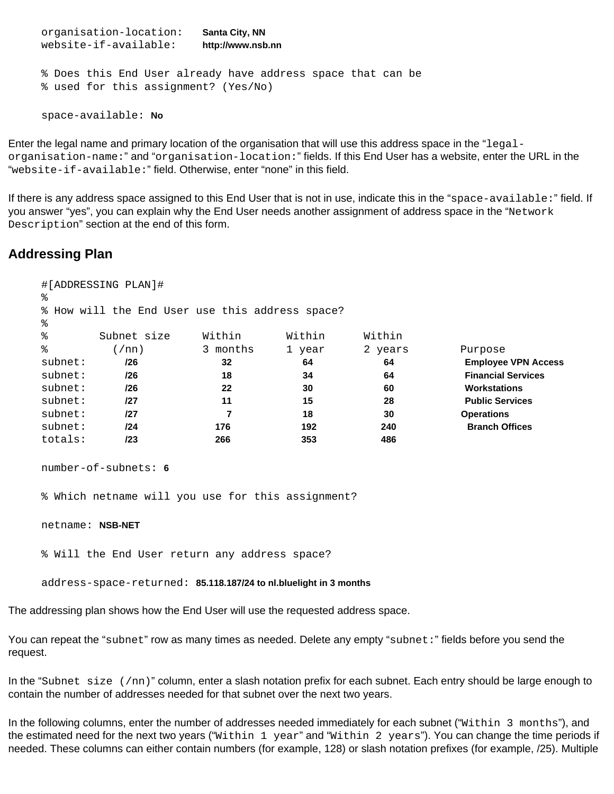organisation-location: **Santa City, NN** website-if-available: **http://www.nsb.nn** % Does this End User already have address space that can be % used for this assignment? (Yes/No) space-available: **No**

Enter the legal name and primary location of the organisation that will use this address space in the "legalorganisation-name:" and "organisation-location:" fields. If this End User has a website, enter the URL in the "website-if-available:" field. Otherwise, enter "none" in this field.

If there is any address space assigned to this End User that is not in use, indicate this in the "space-available:" field. If you answer "yes", you can explain why the End User needs another assignment of address space in the "Network Description" section at the end of this form.

## <span id="page-1-0"></span>**Addressing Plan**

| ٩,                                              | #[ADDRESSING PLAN]# |          |        |         |                            |  |  |  |
|-------------------------------------------------|---------------------|----------|--------|---------|----------------------------|--|--|--|
| % How will the End User use this address space? |                     |          |        |         |                            |  |  |  |
| ႜ                                               |                     |          |        |         |                            |  |  |  |
| ిన                                              | Subnet size         | Within   | Within | Within  |                            |  |  |  |
| ిన                                              | 1/nn                | 3 months | 1 year | 2 years | Purpose                    |  |  |  |
| subnet:                                         | /26                 | 32       | 64     | 64      | <b>Employee VPN Access</b> |  |  |  |
| subnet:                                         | 126                 | 18       | 34     | 64      | <b>Financial Services</b>  |  |  |  |
| subnet:                                         | 126                 | 22       | 30     | 60      | <b>Workstations</b>        |  |  |  |
| subnet:                                         | /27                 | 11       | 15     | 28      | <b>Public Services</b>     |  |  |  |
| subnet:                                         | /27                 |          | 18     | 30      | <b>Operations</b>          |  |  |  |
| subnet:                                         | 124                 | 176      | 192    | 240     | <b>Branch Offices</b>      |  |  |  |
| totals:                                         | /23                 | 266      | 353    | 486     |                            |  |  |  |

```
number-of-subnets: 6
```
% Which netname will you use for this assignment?

netname: **NSB-NET**

% Will the End User return any address space?

address-space-returned: **85.118.187/24 to nl.bluelight in 3 months**

The addressing plan shows how the End User will use the requested address space.

You can repeat the "subnet" row as many times as needed. Delete any empty "subnet:" fields before you send the request.

In the "Subnet size (/nn)" column, enter a slash notation prefix for each subnet. Each entry should be large enough to contain the number of addresses needed for that subnet over the next two years.

In the following columns, enter the number of addresses needed immediately for each subnet ("Within 3 months"), and the estimated need for the next two years ("Within 1 year" and "Within 2 years"). You can change the time periods if needed. These columns can either contain numbers (for example, 128) or slash notation prefixes (for example, /25). Multiple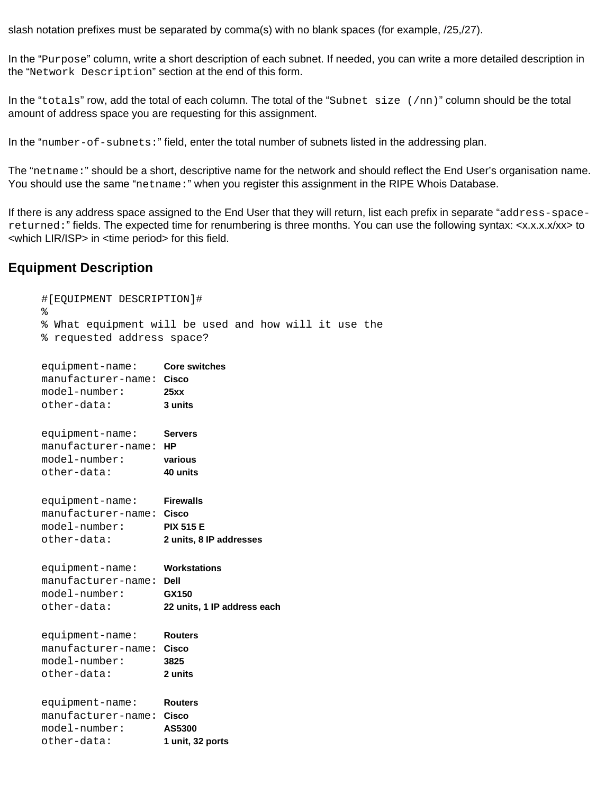slash notation prefixes must be separated by comma(s) with no blank spaces (for example, /25,/27).

In the "Purpose" column, write a short description of each subnet. If needed, you can write a more detailed description in the "Network Description" section at the end of this form.

In the "totals" row, add the total of each column. The total of the "Subnet size  $(7nn)$ " column should be the total amount of address space you are requesting for this assignment.

In the "number-of-subnets:" field, enter the total number of subnets listed in the addressing plan.

The "netname:" should be a short, descriptive name for the network and should reflect the End User's organisation name. You should use the same "netname:" when you register this assignment in the RIPE Whois Database.

If there is any address space assigned to the End User that they will return, list each prefix in separate "address-spacereturned:" fields. The expected time for renumbering is three months. You can use the following syntax: <x.x.x.x/xx> to <which LIR/ISP> in <time period> for this field.

#### <span id="page-2-0"></span>**Equipment Description**

| #[EQUIPMENT DESCRIPTION]#<br>៖<br>% requested address space?                  | % What equipment will be used and how will it use the           |  |
|-------------------------------------------------------------------------------|-----------------------------------------------------------------|--|
| equipment-name:<br>manufacturer-name: Cisco<br>$model-number:$<br>other-data: | <b>Core switches</b><br>25xx<br>3 units                         |  |
| equipment-name:<br>manufacturer-name: HP<br>$model-number:$<br>other-data:    | <b>Servers</b><br>various<br>40 units                           |  |
| equipment-name:<br>manufacturer-name: Cisco<br>$model-number:$<br>other-data: | <b>Firewalls</b><br><b>PIX 515 E</b><br>2 units, 8 IP addresses |  |
| equipment-name:<br>manufacturer-name: Dell<br>$model$ -number:<br>other-data: | Workstations<br>GX150<br>22 units, 1 IP address each            |  |
| equipment-name:<br>manufacturer-name: Cisco<br>$model-number:$<br>other-data: | <b>Routers</b><br>3825<br>2 units                               |  |
| equipment-name:<br>manufacturer-name: Cisco<br>$model-number:$<br>other-data: | <b>Routers</b><br>AS5300<br>1 unit, 32 ports                    |  |